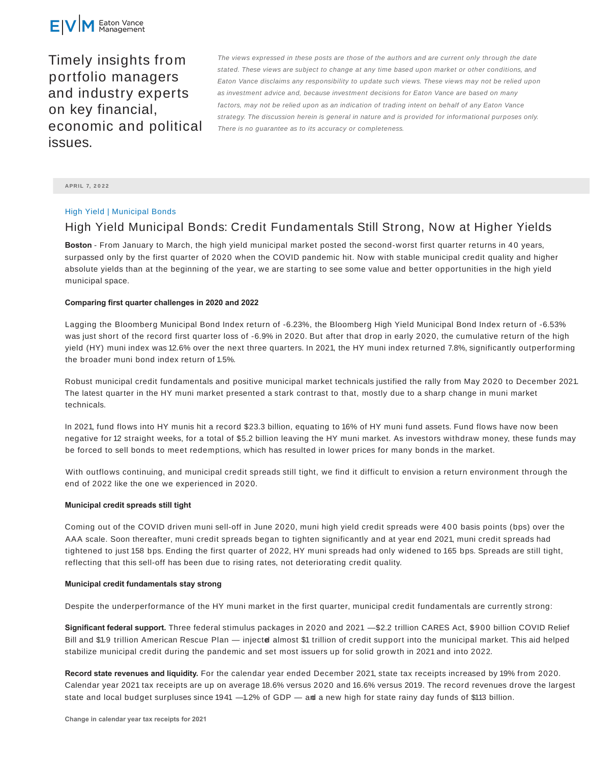

Timely insights from portfolio managers and industry experts on key financial, economic and political issues.

The views expressed in these posts are those of the authors and are current only through the date stated. These views are subject to change at any time based upon market or other conditions, and Eaton Vance disclaims any responsibility to update such views. These views may not be relied upon as investment advice and, because investment decisions for Eaton Vance are based on many factors, may not be relied upon as an indication of trading intent on behalf of any Eaton Vance strategy. The discussion herein is general in nature and is provided for informational purposes only. There is no guarantee as to its accuracy or completeness.

**APRIL 7, 2 0 2 2**

# High Yield | Municipal Bonds

# High Yield Municipal Bonds: Credit Fundamentals Still Strong, Now at Higher Yields

**Boston** - From January to March, the high yield municipal market posted the second-worst first quarter returns in 40 years, surpassed only by the first quarter of 2020 when the COVID pandemic hit. Now with stable municipal credit quality and higher absolute yields than at the beginning of the year, we are starting to see some value and better opportunities in the high yield municipal space.

## **Comparing first quarter challenges in 2020 and 2022**

Lagging the Bloomberg Municipal Bond Index return of -6.23%, the Bloomberg High Yield Municipal Bond Index return of -6.53% was just short of the record first quarter loss of -6.9% in 2020. But after that drop in early 2020, the cumulative return of the high yield (HY) muni index was 12.6% over the next three quarters. In 2021, the HY muni index returned 7.8%, significantly outperforming the broader muni bond index return of 1.5%.

Robust municipal credit fundamentals and positive municipal market technicals justified the rally from May 2020 to December 2021. The latest quarter in the HY muni market presented a stark contrast to that, mostly due to a sharp change in muni market technicals.

In 2021, fund flows into HY munis hit a record \$23.3 billion, equating to 16% of HY muni fund assets. Fund flows have now been negative for 12 straight weeks, for a total of \$5.2 billion leaving the HY muni market. As investors withdraw money, these funds may be forced to sell bonds to meet redemptions, which has resulted in lower prices for many bonds in the market.

With outflows continuing, and municipal credit spreads still tight, we find it difficult to envision a return environment through the end of 2022 like the one we experienced in 2020.

#### **Municipal credit spreads still tight**

Coming out of the COVID driven muni sell-off in June 2020, muni high yield credit spreads were 40 0 basis points (bps) over the AAA scale. Soon thereafter, muni credit spreads began to tighten significantly and at year end 2021, muni credit spreads had tightened to just 158 bps. Ending the first quarter of 2022, HY muni spreads had only widened to 165 bps. Spreads are still tight, reflecting that this sell-off has been due to rising rates, not deteriorating credit quality.

### **Municipal credit fundamentals stay strong**

Despite the underperformance of the HY muni market in the first quarter, municipal credit fundamentals are currently strong:

**Significant federal support.** Three federal stimulus packages in 2020 and 2021 — \$2.2 trillion CARES Act, \$900 billion COVID Relief Bill and \$1.9 trillion American Rescue Plan — injected almost \$1 trillion of credit support into the municipal market. This aid helped stabilize municipal credit during the pandemic and set most issuers up for solid growth in 2021 and into 2022.

**Record state revenues and liquidity.** For the calendar year ended December 2021, state tax receipts increased by 19% from 2020. Calendar year 2021 tax receipts are up on average 18.6% versus 2020 and 16.6% versus 2019. The record revenues drove the largest state and local budget surpluses since 1941  $-1.2\%$  of GDP  $-$  and a new high for state rainy day funds of \$113 billion.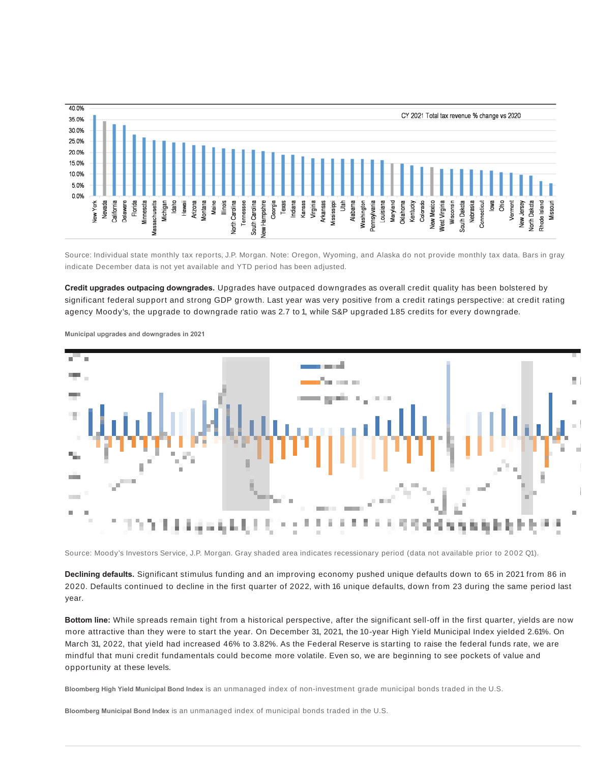

Source: Individual state monthly tax reports, J.P. Morgan. Note: Oregon, Wyoming, and Alaska do not provide monthly tax data. Bars in gray indicate December data is not yet available and YTD period has been adjusted.

**Credit upgrades outpacing downgrades.** Upgrades have outpaced downgrades as overall credit quality has been bolstered by significant federal support and strong GDP growth. Last year was very positive from a credit ratings perspective: at credit rating agency Moody's, the upgrade to downgrade ratio was 2.7 to 1, while S&P upgraded 1.85 credits for every downgrade.



**Municipal upgrades and downgrades in 2021**

Source: Moody's Investors Service, J.P. Morgan. Gray shaded area indicates recessionary period (data not available prior to 2002 Q1).

**Declining defaults.** Significant stimulus funding and an improving economy pushed unique defaults down to 65 in 2021 from 86 in 2020. Defaults continued to decline in the first quarter of 2022, with 16 unique defaults, down from 23 during the same period last year.

**Bottom line:** While spreads remain tight from a historical perspective, after the significant sell-off in the first quarter, yields are now more attractive than they were to start the year. On December 31, 2021, the 10-year High Yield Municipal Index yielded 2.61%. On March 31, 2022, that yield had increased 46% to 3.82%. As the Federal Reserve is starting to raise the federal funds rate, we are mindful that muni credit fundamentals could become more volatile. Even so, we are beginning to see pockets of value and opportunity at these levels.

**Bloomberg High Yield Municipal Bond Index** is an unmanaged index of non-investment grade municipal bonds traded in the U.S.

**Bloomberg Municipal Bond Index** is an unmanaged index of municipal bonds traded in the U.S.